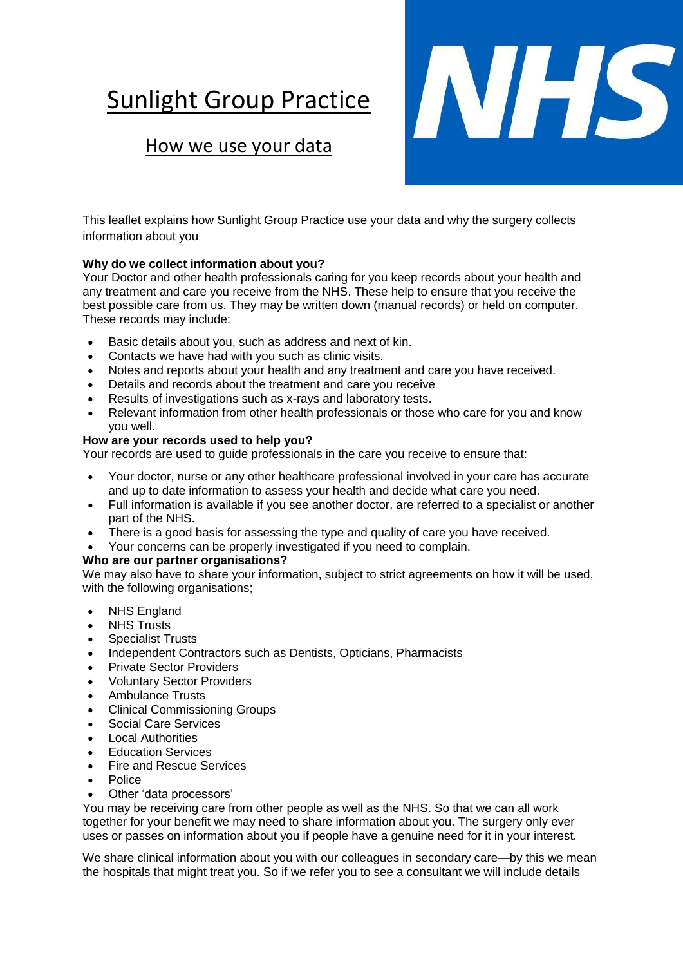# **Sunlight Group Practice**

# How we use your data



This leaflet explains how Sunlight Group Practice use your data and why the surgery collects information about you

# **Why do we collect information about you?**

Your Doctor and other health professionals caring for you keep records about your health and any treatment and care you receive from the NHS. These help to ensure that you receive the best possible care from us. They may be written down (manual records) or held on computer. These records may include:

- Basic details about you, such as address and next of kin.
- Contacts we have had with you such as clinic visits.
- Notes and reports about your health and any treatment and care you have received.
- Details and records about the treatment and care you receive
- Results of investigations such as x-rays and laboratory tests.
- Relevant information from other health professionals or those who care for you and know you well.

## **How are your records used to help you?**

Your records are used to guide professionals in the care you receive to ensure that:

- Your doctor, nurse or any other healthcare professional involved in your care has accurate and up to date information to assess your health and decide what care you need.
- Full information is available if you see another doctor, are referred to a specialist or another part of the NHS.
- There is a good basis for assessing the type and quality of care you have received.
- Your concerns can be properly investigated if you need to complain.

## **Who are our partner organisations?**

We may also have to share your information, subject to strict agreements on how it will be used, with the following organisations;

- NHS England
- NHS Trusts
- Specialist Trusts
- Independent Contractors such as Dentists, Opticians, Pharmacists
- Private Sector Providers
- Voluntary Sector Providers
- Ambulance Trusts
- Clinical Commissioning Groups
- Social Care Services
- Local Authorities
- Education Services
- Fire and Rescue Services
- Police
- Other 'data processors'

You may be receiving care from other people as well as the NHS. So that we can all work together for your benefit we may need to share information about you. The surgery only ever uses or passes on information about you if people have a genuine need for it in your interest.

We share clinical information about you with our colleagues in secondary care—by this we mean the hospitals that might treat you. So if we refer you to see a consultant we will include details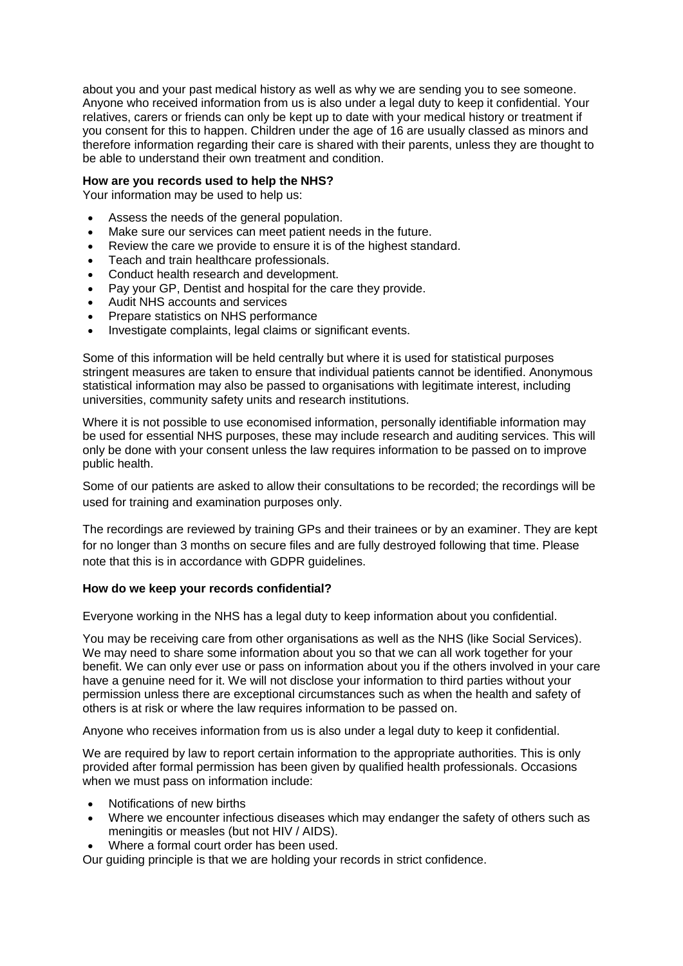about you and your past medical history as well as why we are sending you to see someone. Anyone who received information from us is also under a legal duty to keep it confidential. Your relatives, carers or friends can only be kept up to date with your medical history or treatment if you consent for this to happen. Children under the age of 16 are usually classed as minors and therefore information regarding their care is shared with their parents, unless they are thought to be able to understand their own treatment and condition.

#### **How are you records used to help the NHS?**

Your information may be used to help us:

- Assess the needs of the general population.
- Make sure our services can meet patient needs in the future.
- Review the care we provide to ensure it is of the highest standard.
- Teach and train healthcare professionals.
- Conduct health research and development.
- Pay your GP, Dentist and hospital for the care they provide.
- Audit NHS accounts and services
- Prepare statistics on NHS performance
- Investigate complaints, legal claims or significant events.

Some of this information will be held centrally but where it is used for statistical purposes stringent measures are taken to ensure that individual patients cannot be identified. Anonymous statistical information may also be passed to organisations with legitimate interest, including universities, community safety units and research institutions.

Where it is not possible to use economised information, personally identifiable information may be used for essential NHS purposes, these may include research and auditing services. This will only be done with your consent unless the law requires information to be passed on to improve public health.

Some of our patients are asked to allow their consultations to be recorded; the recordings will be used for training and examination purposes only.

The recordings are reviewed by training GPs and their trainees or by an examiner. They are kept for no longer than 3 months on secure files and are fully destroyed following that time. Please note that this is in accordance with GDPR guidelines.

#### **How do we keep your records confidential?**

Everyone working in the NHS has a legal duty to keep information about you confidential.

You may be receiving care from other organisations as well as the NHS (like Social Services). We may need to share some information about you so that we can all work together for your benefit. We can only ever use or pass on information about you if the others involved in your care have a genuine need for it. We will not disclose your information to third parties without your permission unless there are exceptional circumstances such as when the health and safety of others is at risk or where the law requires information to be passed on.

Anyone who receives information from us is also under a legal duty to keep it confidential.

We are required by law to report certain information to the appropriate authorities. This is only provided after formal permission has been given by qualified health professionals. Occasions when we must pass on information include:

- Notifications of new births
- Where we encounter infectious diseases which may endanger the safety of others such as meningitis or measles (but not HIV / AIDS).
- Where a formal court order has been used.

Our guiding principle is that we are holding your records in strict confidence.